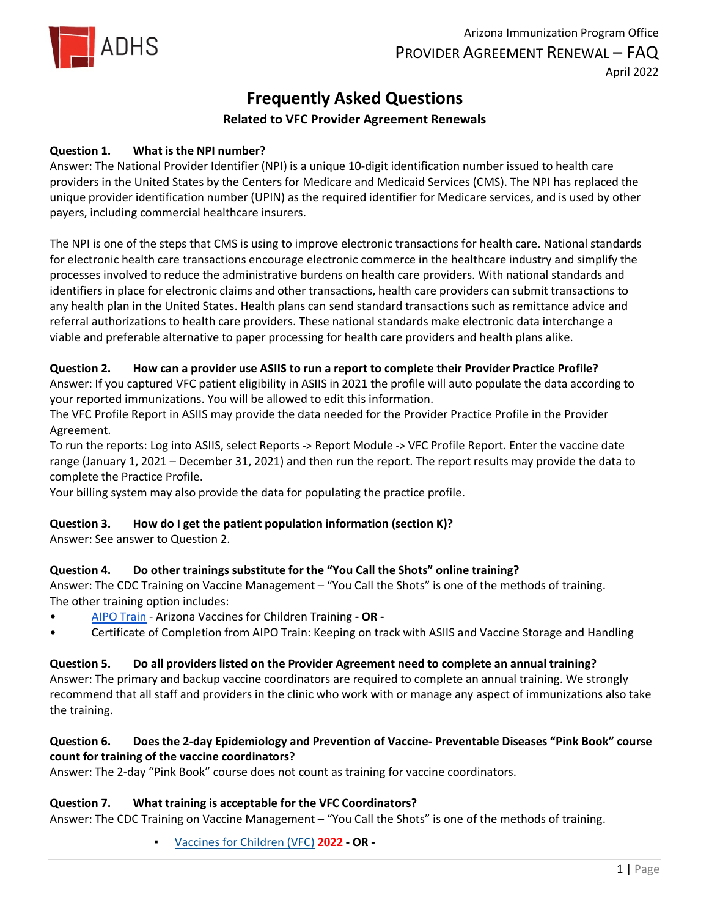

# **Frequently Asked Questions**

# **Related to VFC Provider Agreement Renewals**

#### **Question 1. What is the NPI number?**

Answer: The National Provider Identifier (NPI) is a unique 10-digit identification number issued to health care providers in the United States by the Centers for Medicare and Medicaid Services (CMS). The NPI has replaced the unique provider identification number (UPIN) as the required identifier for Medicare services, and is used by other payers, including commercial healthcare insurers.

The NPI is one of the steps that CMS is using to improve electronic transactions for health care. National standards for electronic health care transactions encourage electronic commerce in the healthcare industry and simplify the processes involved to reduce the administrative burdens on health care providers. With national standards and identifiers in place for electronic claims and other transactions, health care providers can submit transactions to any health plan in the United States. Health plans can send standard transactions such as remittance advice and referral authorizations to health care providers. These national standards make electronic data interchange a viable and preferable alternative to paper processing for health care providers and health plans alike.

#### **Question 2. How can a provider use ASIIS to run a report to complete their Provider Practice Profile?**

Answer: If you captured VFC patient eligibility in ASIIS in 2021 the profile will auto populate the data according to your reported immunizations. You will be allowed to edit this information.

The VFC Profile Report in ASIIS may provide the data needed for the Provider Practice Profile in the Provider Agreement.

To run the reports: Log into ASIIS, select Reports -> Report Module -> VFC Profile Report. Enter the vaccine date range (January 1, 2021 – December 31, 2021) and then run the report. The report results may provide the data to complete the Practice Profile.

Your billing system may also provide the data for populating the practice profile.

#### **Question 3. How do I get the patient population information (section K)?**

Answer: See answer to Question 2.

# **Question 4. Do other trainings substitute for the "You Call the Shots" online training?**

Answer: The CDC Training on Vaccine Management – "You Call the Shots" is one of the methods of training. The other training option includes:

- [AIPO Train -](http://www.aipotrain.org/) Arizona Vaccines for Children Training  **OR -**
- Certificate of Completion from AIPO Train: Keeping on track with ASIIS and Vaccine Storage and Handling

#### **Question 5. Do all providers listed on the Provider Agreement need to complete an annual training?**

Answer: The primary and backup vaccine coordinators are required to complete an annual training. We strongly recommend that all staff and providers in the clinic who work with or manage any aspect of immunizations also take the training.

# **Question 6. Does the 2-day Epidemiology and Prevention of Vaccine- Preventable Diseases "Pink Book" course count for training of the vaccine coordinators?**

Answer: The 2-day "Pink Book" course does not count as training for vaccine coordinators.

#### **Question 7. What training is acceptable for the VFC Coordinators?**

Answer: The CDC Training on Vaccine Management – "You Call the Shots" is one of the methods of training.

▪ [Vaccines for Children \(VFC\)](https://www2a.cdc.gov/nip/isd/ycts/mod1/courses/vfc/ce.asp) **2022 - OR -**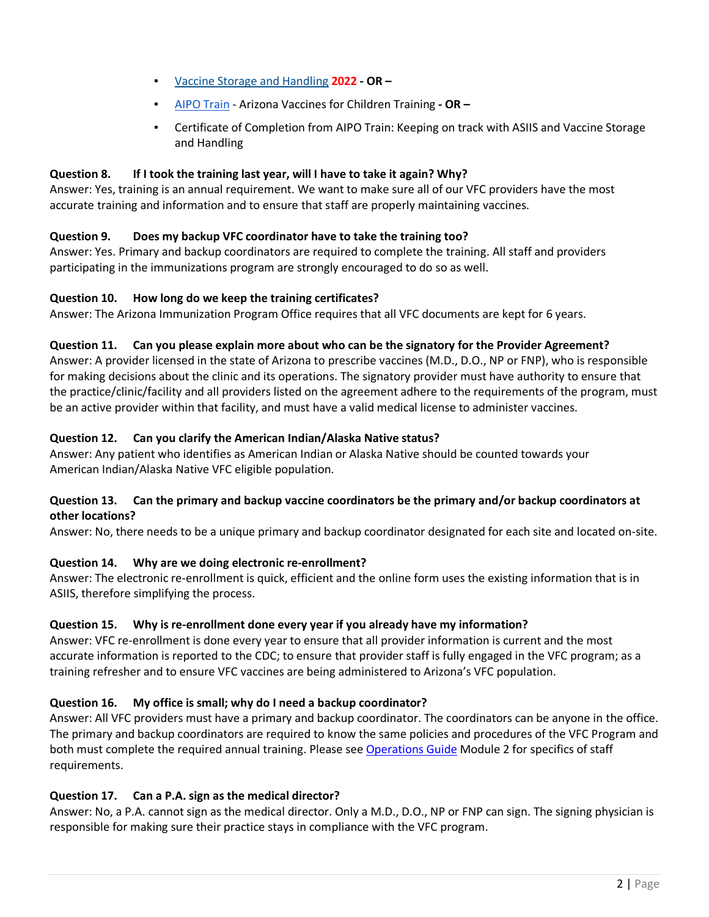- [Vaccine Storage and Handling](https://www2a.cdc.gov/nip/isd/ycts/mod1/courses/sh/ce.asp) **2022 OR –**
- [AIPO Train -](http://www.aipotrain.org/) Arizona Vaccines for Children Training  **OR –**
- Certificate of Completion from AIPO Train: Keeping on track with ASIIS and Vaccine Storage and Handling

#### **Question 8. If I took the training last year, will I have to take it again? Why?**

Answer: Yes, training is an annual requirement. We want to make sure all of our VFC providers have the most accurate training and information and to ensure that staff are properly maintaining vaccines.

# **Question 9. Does my backup VFC coordinator have to take the training too?**

Answer: Yes. Primary and backup coordinators are required to complete the training. All staff and providers participating in the immunizations program are strongly encouraged to do so as well.

#### **Question 10. How long do we keep the training certificates?**

Answer: The Arizona Immunization Program Office requires that all VFC documents are kept for 6 years.

#### **Question 11. Can you please explain more about who can be the signatory for the Provider Agreement?**

Answer: A provider licensed in the state of Arizona to prescribe vaccines (M.D., D.O., NP or FNP), who is responsible for making decisions about the clinic and its operations. The signatory provider must have authority to ensure that the practice/clinic/facility and all providers listed on the agreement adhere to the requirements of the program, must be an active provider within that facility, and must have a valid medical license to administer vaccines.

#### **Question 12. Can you clarify the American Indian/Alaska Native status?**

Answer: Any patient who identifies as American Indian or Alaska Native should be counted towards your American Indian/Alaska Native VFC eligible population.

#### **Question 13. Can the primary and backup vaccine coordinators be the primary and/or backup coordinators at other locations?**

Answer: No, there needs to be a unique primary and backup coordinator designated for each site and located on-site.

# **Question 14. Why are we doing electronic re-enrollment?**

Answer: The electronic re-enrollment is quick, efficient and the online form uses the existing information that is in ASIIS, therefore simplifying the process.

# **Question 15. Why is re-enrollment done every year if you already have my information?**

Answer: VFC re-enrollment is done every year to ensure that all provider information is current and the most accurate information is reported to the CDC; to ensure that provider staff is fully engaged in the VFC program; as a training refresher and to ensure VFC vaccines are being administered to Arizona's VFC population.

# **Question 16. My office is small; why do I need a backup coordinator?**

Answer: All VFC providers must have a primary and backup coordinator. The coordinators can be anyone in the office. The primary and backup coordinators are required to know the same policies and procedures of the VFC Program and both must complete the required annual training. Please see [Operations Guide](https://azdhs.gov/documents/preparedness/epidemiology-disease-control/immunization/vaccines-for-children/exhibits/operations-guide.pdf) Module 2 for specifics of staff requirements.

# **Question 17. Can a P.A. sign as the medical director?**

Answer: No, a P.A. cannot sign as the medical director. Only a M.D., D.O., NP or FNP can sign. The signing physician is responsible for making sure their practice stays in compliance with the VFC program.